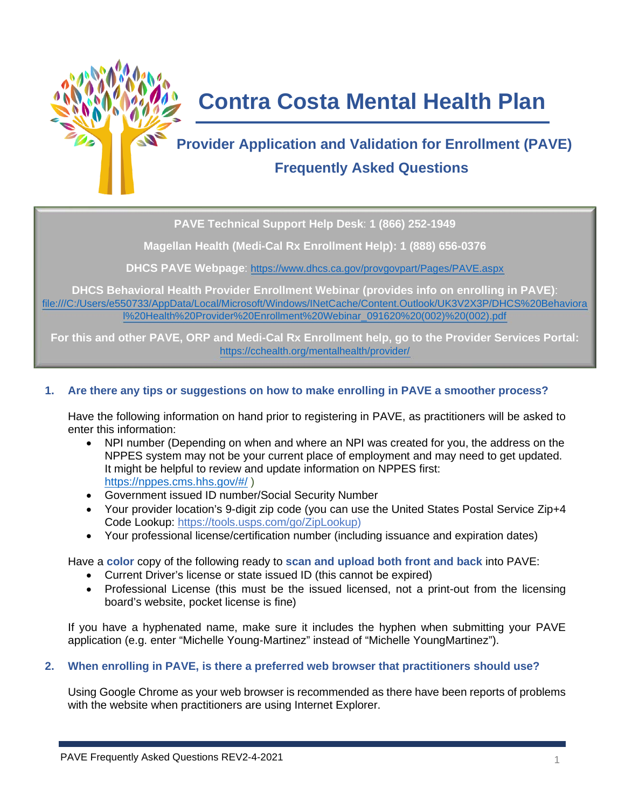

# **Contra Costa Mental Health Plan**

# **Provider Application and Validation for Enrollment (PAVE) Frequently Asked Questions**

**PAVE Technical Support Help Desk**: **1 (866) 252-1949**

**Magellan Health (Medi-Cal Rx Enrollment Help): 1 (888) 656-0376**

**DHCS PAVE Webpage**:<https://www.dhcs.ca.gov/provgovpart/Pages/PAVE.aspx>

**DHCS Behavioral Health Provider Enrollment Webinar (provides info on enrolling in PAVE)**: file:///C:/Users/e550733/AppData/Local/Microsoft/Windows/INetCache/Content.Outlook/UK3V2X3P/DHCS%20Behaviora l%20Health%20Provider%20Enrollment%20Webinar\_091620%20(002)%20(002).pdf

**For this and other PAVE, ORP and Medi-Cal Rx Enrollment help, go to the Provider Services Portal:** <https://cchealth.org/mentalhealth/provider/>

# **1. Are there any tips or suggestions on how to make enrolling in PAVE a smoother process?**

Have the following information on hand prior to registering in PAVE, as practitioners will be asked to enter this information:

- NPI number (Depending on when and where an NPI was created for you, the address on the NPPES system may not be your current place of employment and may need to get updated. It might be helpful to review and update information on NPPES first: <https://nppes.cms.hhs.gov/#/> )
- Government issued ID number/Social Security Number
- Your provider location's 9-digit zip code (you can use the United States Postal Service Zip+4 Code Lookup: [https://tools.usps.com/go/ZipLookup\)](https://tools.usps.com/go/ZipLookup)
- Your professional license/certification number (including issuance and expiration dates)

Have a **color** copy of the following ready to **scan and upload both front and back** into PAVE:

- Current Driver's license or state issued ID (this cannot be expired)
- Professional License (this must be the issued licensed, not a print-out from the licensing board's website, pocket license is fine)

If you have a hyphenated name, make sure it includes the hyphen when submitting your PAVE application (e.g. enter "Michelle Young-Martinez" instead of "Michelle YoungMartinez").

# **2. When enrolling in PAVE, is there a preferred web browser that practitioners should use?**

Using Google Chrome as your web browser is recommended as there have been reports of problems with the website when practitioners are using Internet Explorer.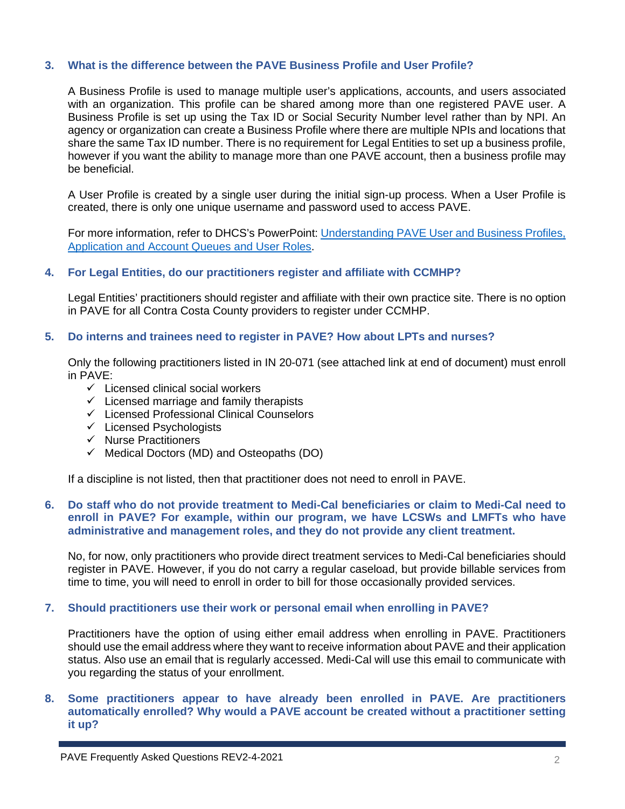#### **3. What is the difference between the PAVE Business Profile and User Profile?**

A Business Profile is used to manage multiple user's applications, accounts, and users associated with an organization. This profile can be shared among more than one registered PAVE user. A Business Profile is set up using the Tax ID or Social Security Number level rather than by NPI. An agency or organization can create a Business Profile where there are multiple NPIs and locations that share the same Tax ID number. There is no requirement for Legal Entities to set up a business profile, however if you want the ability to manage more than one PAVE account, then a business profile may be beneficial.

A User Profile is created by a single user during the initial sign-up process. When a User Profile is created, there is only one unique username and password used to access PAVE.

For more information, refer to DHCS's PowerPoint: [Understanding PAVE User and Business Profiles,](https://www.dhcs.ca.gov/provgovpart/Documents/PAVE_Project_for_Provider_Enrollment_Division/User_Information_1-of-8.pdf)  [Application and Account Queues and User Roles.](https://www.dhcs.ca.gov/provgovpart/Documents/PAVE_Project_for_Provider_Enrollment_Division/User_Information_1-of-8.pdf)

# **4. For Legal Entities, do our practitioners register and affiliate with CCMHP?**

Legal Entities' practitioners should register and affiliate with their own practice site. There is no option in PAVE for all Contra Costa County providers to register under CCMHP.

# **5. Do interns and trainees need to register in PAVE? How about LPTs and nurses?**

Only the following practitioners listed in IN 20-071 (see attached link at end of document) must enroll in PAVE:

- $\checkmark$  Licensed clinical social workers
- $\checkmark$  Licensed marriage and family therapists
- $\checkmark$  Licensed Professional Clinical Counselors
- $\checkmark$  Licensed Psychologists
- $\checkmark$  Nurse Practitioners
- $\checkmark$  Medical Doctors (MD) and Osteopaths (DO)

If a discipline is not listed, then that practitioner does not need to enroll in PAVE.

# **6. Do staff who do not provide treatment to Medi-Cal beneficiaries or claim to Medi-Cal need to enroll in PAVE? For example, within our program, we have LCSWs and LMFTs who have administrative and management roles, and they do not provide any client treatment.**

No, for now, only practitioners who provide direct treatment services to Medi-Cal beneficiaries should register in PAVE. However, if you do not carry a regular caseload, but provide billable services from time to time, you will need to enroll in order to bill for those occasionally provided services.

#### **7. Should practitioners use their work or personal email when enrolling in PAVE?**

Practitioners have the option of using either email address when enrolling in PAVE. Practitioners should use the email address where they want to receive information about PAVE and their application status. Also use an email that is regularly accessed. Medi-Cal will use this email to communicate with you regarding the status of your enrollment.

# **8. Some practitioners appear to have already been enrolled in PAVE. Are practitioners automatically enrolled? Why would a PAVE account be created without a practitioner setting it up?**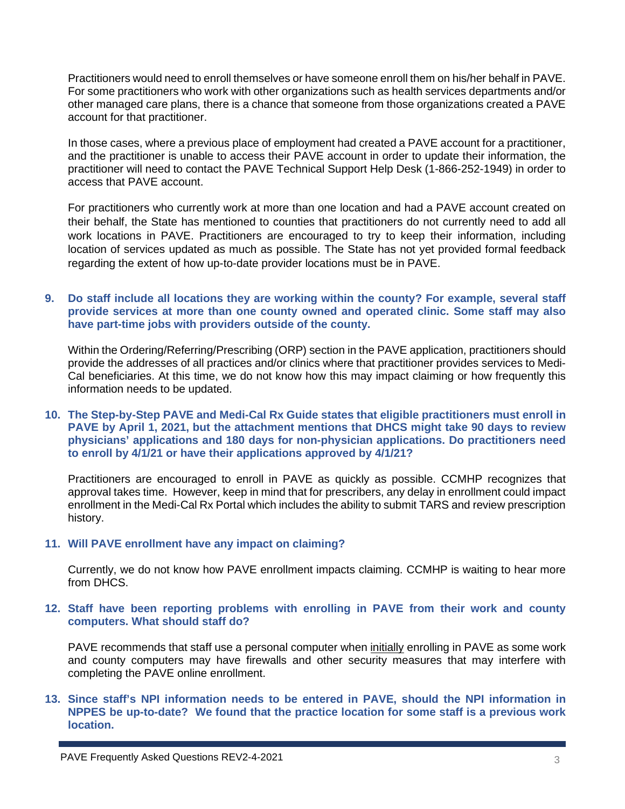Practitioners would need to enroll themselves or have someone enroll them on his/her behalf in PAVE. For some practitioners who work with other organizations such as health services departments and/or other managed care plans, there is a chance that someone from those organizations created a PAVE account for that practitioner.

In those cases, where a previous place of employment had created a PAVE account for a practitioner, and the practitioner is unable to access their PAVE account in order to update their information, the practitioner will need to contact the PAVE Technical Support Help Desk (1-866-252-1949) in order to access that PAVE account.

For practitioners who currently work at more than one location and had a PAVE account created on their behalf, the State has mentioned to counties that practitioners do not currently need to add all work locations in PAVE. Practitioners are encouraged to try to keep their information, including location of services updated as much as possible. The State has not yet provided formal feedback regarding the extent of how up-to-date provider locations must be in PAVE.

# **9. Do staff include all locations they are working within the county? For example, several staff provide services at more than one county owned and operated clinic. Some staff may also have part-time jobs with providers outside of the county.**

Within the Ordering/Referring/Prescribing (ORP) section in the PAVE application, practitioners should provide the addresses of all practices and/or clinics where that practitioner provides services to Medi-Cal beneficiaries. At this time, we do not know how this may impact claiming or how frequently this information needs to be updated.

#### **10. The Step-by-Step PAVE and Medi-Cal Rx Guide states that eligible practitioners must enroll in PAVE by April 1, 2021, but the attachment mentions that DHCS might take 90 days to review physicians' applications and 180 days for non-physician applications. Do practitioners need to enroll by 4/1/21 or have their applications approved by 4/1/21?**

Practitioners are encouraged to enroll in PAVE as quickly as possible. CCMHP recognizes that approval takes time. However, keep in mind that for prescribers, any delay in enrollment could impact enrollment in the Medi-Cal Rx Portal which includes the ability to submit TARS and review prescription history.

# **11. Will PAVE enrollment have any impact on claiming?**

Currently, we do not know how PAVE enrollment impacts claiming. CCMHP is waiting to hear more from DHCS.

# **12. Staff have been reporting problems with enrolling in PAVE from their work and county computers. What should staff do?**

PAVE recommends that staff use a personal computer when initially enrolling in PAVE as some work and county computers may have firewalls and other security measures that may interfere with completing the PAVE online enrollment.

# **13. Since staff's NPI information needs to be entered in PAVE, should the NPI information in NPPES be up-to-date? We found that the practice location for some staff is a previous work location.**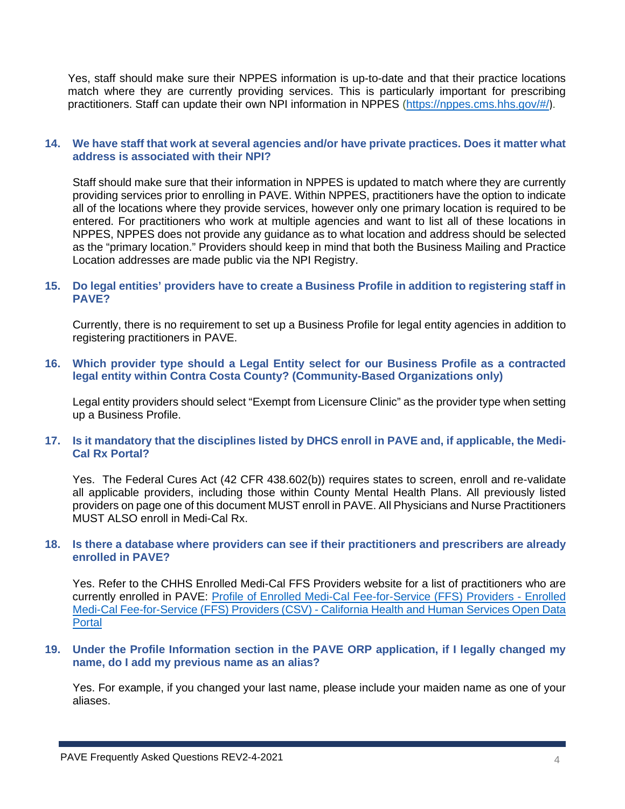Yes, staff should make sure their NPPES information is up-to-date and that their practice locations match where they are currently providing services. This is particularly important for prescribing practitioners. Staff can update their own NPI information in NPPES [\(https://nppes.cms.hhs.gov/#/](https://nppes.cms.hhs.gov/#/)).

# **14. We have staff that work at several agencies and/or have private practices. Does it matter what address is associated with their NPI?**

Staff should make sure that their information in NPPES is updated to match where they are currently providing services prior to enrolling in PAVE. Within NPPES, practitioners have the option to indicate all of the locations where they provide services, however only one primary location is required to be entered. For practitioners who work at multiple agencies and want to list all of these locations in NPPES, NPPES does not provide any guidance as to what location and address should be selected as the "primary location." Providers should keep in mind that both the Business Mailing and Practice Location addresses are made public via the NPI Registry.

# **15. Do legal entities' providers have to create a Business Profile in addition to registering staff in PAVE?**

Currently, there is no requirement to set up a Business Profile for legal entity agencies in addition to registering practitioners in PAVE.

**16. Which provider type should a Legal Entity select for our Business Profile as a contracted legal entity within Contra Costa County? (Community-Based Organizations only)**

Legal entity providers should select "Exempt from Licensure Clinic" as the provider type when setting up a Business Profile.

# **17. Is it mandatory that the disciplines listed by DHCS enroll in PAVE and, if applicable, the Medi-Cal Rx Portal?**

Yes. The Federal Cures Act (42 CFR 438.602(b)) requires states to screen, enroll and re-validate all applicable providers, including those within County Mental Health Plans. All previously listed providers on page one of this document MUST enroll in PAVE. All Physicians and Nurse Practitioners MUST ALSO enroll in Medi-Cal Rx.

#### **18. Is there a database where providers can see if their practitioners and prescribers are already enrolled in PAVE?**

Yes. Refer to the CHHS Enrolled Medi-Cal FFS Providers website for a list of practitioners who are currently enrolled in PAVE: [Profile of Enrolled Medi-Cal Fee-for-Service \(FFS\) Providers -](https://data.chhs.ca.gov/dataset/profile-of-enrolled-medi-cal-fee-for-service-ffs-providers/resource/a9967f81-aaa4-475e-8cd8-459dcc1be2df) Enrolled Medi-Cal Fee-for-Service (FFS) Providers (CSV) - [California Health and Human Services Open Data](https://data.chhs.ca.gov/dataset/profile-of-enrolled-medi-cal-fee-for-service-ffs-providers/resource/a9967f81-aaa4-475e-8cd8-459dcc1be2df)  **[Portal](https://data.chhs.ca.gov/dataset/profile-of-enrolled-medi-cal-fee-for-service-ffs-providers/resource/a9967f81-aaa4-475e-8cd8-459dcc1be2df)** 

#### **19. Under the Profile Information section in the PAVE ORP application, if I legally changed my name, do I add my previous name as an alias?**

Yes. For example, if you changed your last name, please include your maiden name as one of your aliases.